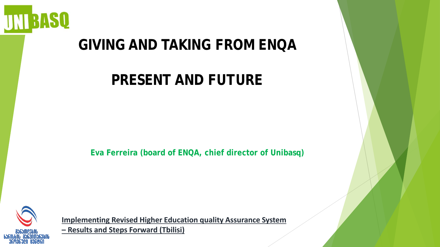

# **GIVING AND TAKING FROM ENQA**

# **PRESENT AND FUTURE**

**Eva Ferreira (board of ENQA, chief director of Unibasq)**



**Implementing Revised Higher Education quality Assurance System** 

**– Results and Steps Forward (Tbilisi)**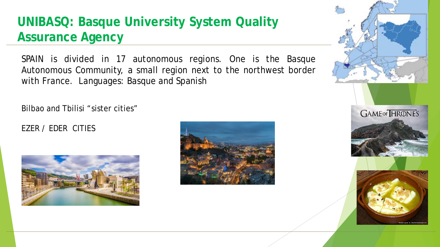### **UNIBASQ: Basque University System Quality Assurance Agency**

SPAIN is divided in 17 autonomous regions. One is the Basque Autonomous Community, a small region next to the northwest border with France. Languages: Basque and Spanish

Bilbao and Tbilisi "sister cities"

#### EZER / EDER CITIES





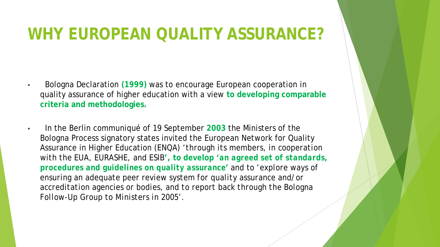# **WHY EUROPEAN QUALITY ASSURANCE?**

- Bologna Declaration **(1999)** was to encourage European cooperation in quality assurance of higher education with a view **to developing comparable criteria and methodologies.**
- In the Berlin communiqué of 19 September **2003** the Ministers of the Bologna Process signatory states invited the European Network for Quality Assurance in Higher Education (ENQA) '*through its members, in cooperation with the EUA, EURASHE, and ESIB***', to develop** *'an agreed set of standards, procedures and guidelines on quality assurance'* and to *'explore ways of ensuring an adequate peer review system for quality assurance and/or accreditation agencies or bodies, and to report back through the Bologna Follow-Up Group to Ministers in 2005'.*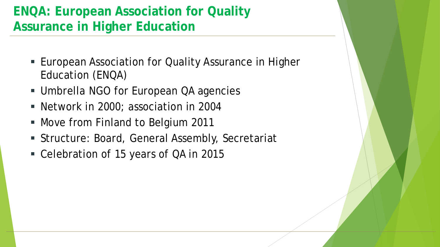### **ENQA: European Association for Quality Assurance in Higher Education**

- **European Association for Quality Assurance in Higher** Education (ENQA)
- Umbrella NGO for European QA agencies
- Network in 2000; association in 2004
- **Move from Finland to Belgium 2011**
- Structure: Board, General Assembly, Secretariat
- Celebration of 15 years of QA in 2015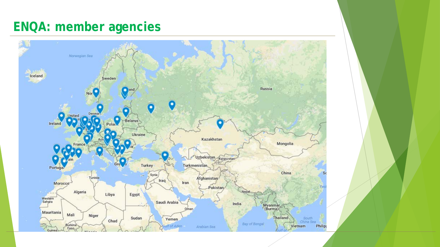### **ENQA: member agencies**

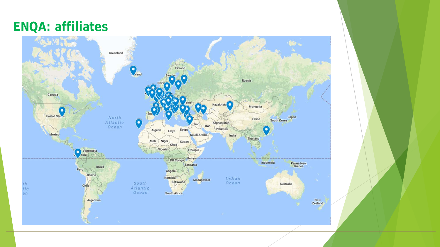#### **ENQA: affiliates**

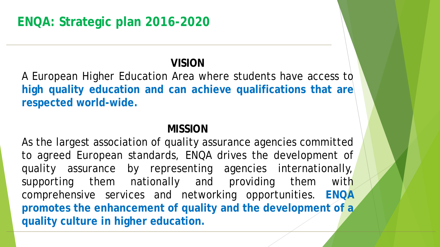#### **VISION**

A European Higher Education Area where students have access to **high quality education and can achieve qualifications that are respected world-wide.**

#### **MISSION**

As the largest association of quality assurance agencies committed to agreed European standards, ENQA drives the development of quality assurance by representing agencies internationally, supporting them nationally and providing them with comprehensive services and networking opportunities. **ENQA promotes the enhancement of quality and the development of a quality culture in higher education.**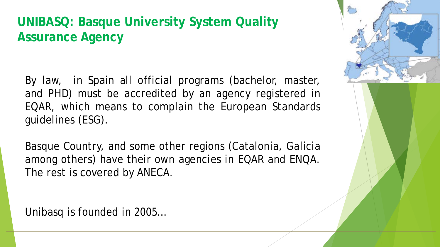### **UNIBASQ: Basque University System Quality Assurance Agency**

By law, in Spain all official programs (bachelor, master, and PHD) must be accredited by an agency registered in EQAR, which means to complain the European Standards guidelines (ESG).

Basque Country, and some other regions (Catalonia, Galicia among others) have their own agencies in EQAR and ENQA. The rest is covered by ANECA.

Unibasq is founded in 2005…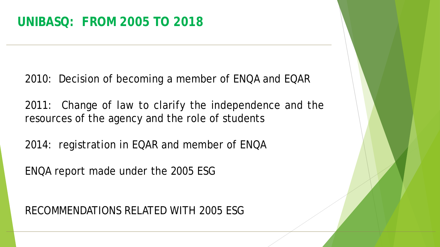2010: Decision of becoming a member of ENQA and EQAR

2011: Change of law to clarify the independence and the resources of the agency and the role of students

2014: registration in EQAR and member of ENQA

ENQA report made under the 2005 ESG

RECOMMENDATIONS RELATED WITH 2005 ESG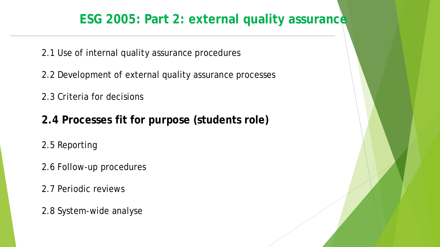#### **ESG 2005: Part 2: external quality assurance**

2.1 Use of internal quality assurance procedures

2.2 Development of external quality assurance processes

2.3 Criteria for decisions

**2.4 Processes fit for purpose (students role)**

2.5 Reporting

2.6 Follow-up procedures

2.7 Periodic reviews

2.8 System-wide analyse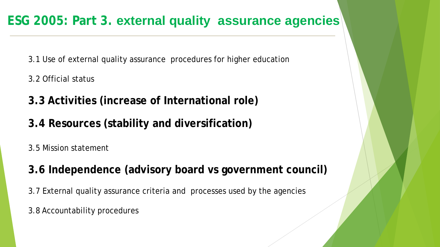3.1 Use of external quality assurance procedures for higher education

- 3.2 Official status
- **3.3 Activities (increase of International role)**
- **3.4 Resources (stability and diversification)**

3.5 Mission statement

**3.6 Independence (advisory board vs government council)** 

3.7 External quality assurance criteria and processes used by the agencies

3.8 Accountability procedures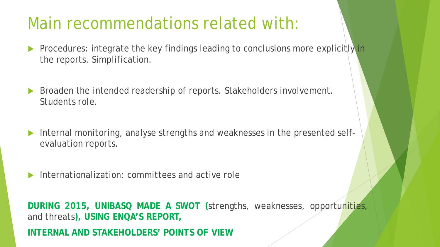# Main recommendations related with:

- Procedures: integrate the key findings leading to conclusions more explicitly in the reports. Simplification.
- ▶ Broaden the intended readership of reports. Stakeholders involvement. Students role.
- Internal monitoring, analyse strengths and weaknesses in the presented selfevaluation reports.
- Internationalization: committees and active role

**DURING 2015, UNIBASQ MADE A SWOT (**strengths, weaknesses, opportunities, and threats**), USING ENQA'S REPORT,**

**INTERNAL AND STAKEHOLDERS' POINTS OF VIEW**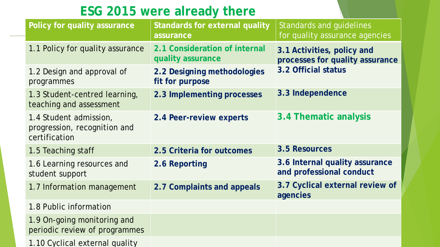### **ESG 2015 were already there**

| Policy for quality assurance                                            | <b>Standards for external quality</b><br>assurance | <b>Standards and guidelines</b><br>for quality assurance agencies |
|-------------------------------------------------------------------------|----------------------------------------------------|-------------------------------------------------------------------|
| 1.1 Policy for quality assurance                                        | 2.1 Consideration of internal<br>quality assurance | 3.1 Activities, policy and<br>processes for quality assurance     |
| 1.2 Design and approval of<br>programmes                                | 2.2 Designing methodologies<br>fit for purpose     | 3.2 Official status                                               |
| 1.3 Student-centred learning,<br>teaching and assessment                | 2.3 Implementing processes                         | 3.3 Independence                                                  |
| 1.4 Student admission,<br>progression, recognition and<br>certification | 2.4 Peer-review experts                            | 3.4 Thematic analysis                                             |
| 1.5 Teaching staff                                                      | 2.5 Criteria for outcomes                          | 3.5 Resources                                                     |
| 1.6 Learning resources and<br>student support                           | 2.6 Reporting                                      | 3.6 Internal quality assurance<br>and professional conduct        |
| 1.7 Information management                                              | 2.7 Complaints and appeals                         | 3.7 Cyclical external review of<br>agencies                       |
| 1.8 Public information                                                  |                                                    |                                                                   |
| 1.9 On-going monitoring and<br>periodic review of programmes            |                                                    |                                                                   |
| 1.10 Cyclical external quality                                          |                                                    |                                                                   |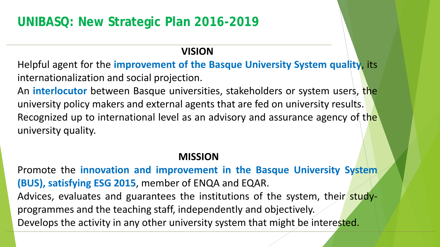### **UNIBASQ: New Strategic Plan 2016-2019**

#### **VISION**

Helpful agent for the **improvement of the Basque University System quality**, its internationalization and social projection.

An **interlocutor** between Basque universities, stakeholders or system users, the university policy makers and external agents that are fed on university results. Recognized up to international level as an advisory and assurance agency of the university quality.

#### **MISSION**

Promote the **innovation and improvement in the Basque University System (BUS), satisfying ESG 2015**, member of ENQA and EQAR. Advices, evaluates and guarantees the institutions of the system, their studyprogrammes and the teaching staff, independently and objectively. Develops the activity in any other university system that might be interested.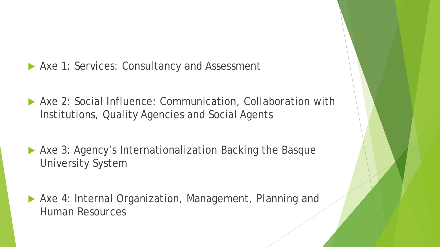- ▶ Axe 1: Services: Consultancy and Assessment
- Axe 2: Social Influence: Communication, Collaboration with Institutions, Quality Agencies and Social Agents
- ▶ Axe 3: Agency's Internationalization Backing the Basque University System
- Axe 4: Internal Organization, Management, Planning and Human Resources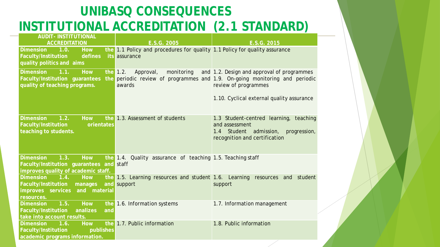### **UNIBASQ CONSEQUENCES INSTITUTIONAL ACCREDITATION (2.1 STANDARD)**

| <b>AUDIT- INSTITUTIONAL</b><br><b>ACCREDITATION</b>                                                                            | E.S.G. 2005                                                                                 | E.S.G. 2015                                                                                                                                                                                    |
|--------------------------------------------------------------------------------------------------------------------------------|---------------------------------------------------------------------------------------------|------------------------------------------------------------------------------------------------------------------------------------------------------------------------------------------------|
| <b>Dimension</b><br><b>How</b><br>1.0.<br>Faculty/Institution<br>defines<br>quality politics and aims                          | the 1.1 Policy and procedures for quality 1.1 Policy for quality assurance<br>its assurance |                                                                                                                                                                                                |
| <b>Dimension</b><br>1.1.<br><b>How</b><br>Faculty/Institution guarantees<br>quality of teaching programs.                      | the $1.2$ .<br>Approval,<br>monitoring<br>awards                                            | and 1.2. Design and approval of programmes<br>the periodic review of programmes and 1.9. On-going monitoring and periodic<br>review of programmes<br>1.10. Cyclical external quality assurance |
| 1.2.<br><b>How</b><br>the<br><b>Dimension</b><br>Faculty/Institution<br>orientates<br>teaching to students.                    | 1.3. Assessment of students                                                                 | 1.3 Student-centred learning, teaching<br>and assessment<br>1.4 Student admission,<br>progression,<br>recognition and certification                                                            |
| <b>Dimension</b><br>1.3.<br>How<br>Faculty/Institution guarantees and staff<br>improves quality of academic staff.             | the 1.4. Quality assurance of teaching 1.5. Teaching staff                                  |                                                                                                                                                                                                |
| <b>How</b><br><b>Dimension</b><br>$-1.4.$<br>Faculty/Institution<br>manages<br>improves services<br>and material<br>resources. | the 1.5. Learning resources and student 1.6. Learning resources and<br>and support          | student<br>support                                                                                                                                                                             |
| <b>How</b><br><b>Dimension</b><br>1.5.<br>Faculty/Institution<br>analizes<br>and<br>take into account results.                 | the 1.6. Information systems                                                                | 1.7. Information management                                                                                                                                                                    |
| <b>Dimension</b><br>1.6.<br>How<br>Faculty/Institution<br>publishes<br>academic programs information.                          | the 1.7. Public information                                                                 | 1.8. Public information                                                                                                                                                                        |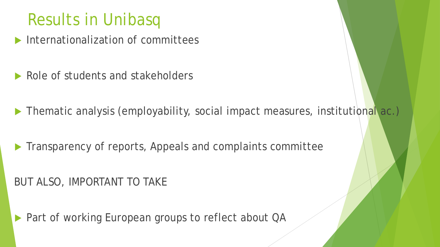# Results in Unibasq

- Internationalization of committees
- Role of students and stakeholders
- Thematic analysis (employability, social impact measures, institutional ac.)
- Transparency of reports, Appeals and complaints committee

#### BUT ALSO, IMPORTANT TO TAKE

▶ Part of working European groups to reflect about QA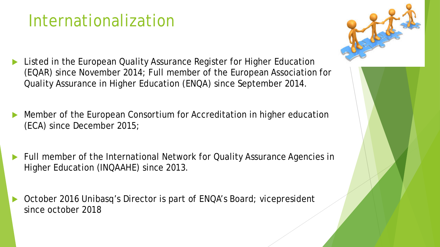# Internationalization

- Listed in the European Quality Assurance Register for Higher Education (EQAR) since November 2014; Full member of the European Association for Quality Assurance in Higher Education (ENQA) since September 2014.
- Member of the European Consortium for Accreditation in higher education (ECA) since December 2015;
- Full member of the International Network for Quality Assurance Agencies in Higher Education (INQAAHE) since 2013.
- October 2016 Unibasq's Director is part of ENQA's Board; vicepresident since october 2018

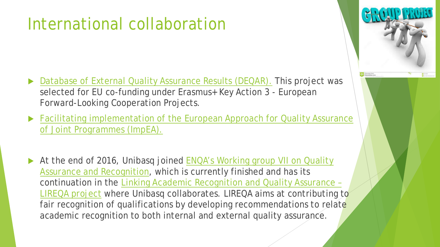# International collaboration

- [Database of External Quality Assurance Results \(DEQAR\).](https://www.eqar.eu/topics/deqar.html) This project was selected for EU co-funding under Erasmus+ Key Action 3 - European Forward-Looking Cooperation Projects.
- **Facilitating implementation of the European Approach for Quality Assurance** of Joint Programmes (ImpEA).
- At the end of 2016, Unibasq joined ENQA's Working group VII on Quality [Assurance and Recognition, which is currently finished and has its](http://www.enqa.eu/index.php/working-group-vii-on-quality-assurance-and-recognition/)  [continuation in the Linking Academic Recognition and Quality Assurance –](http://www.enqa.eu/index.php/linking-academic-recognition-and-quality-assurance-lireqa/) LIREQA project where Unibasq collaborates. LIREQA aims at contributing to fair recognition of qualifications by developing recommendations to relate academic recognition to both internal and external quality assurance.

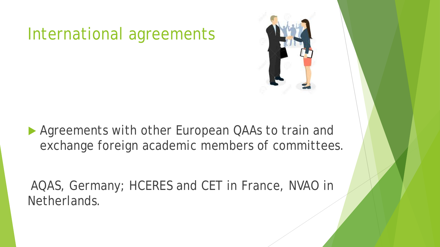# International agreements



▶ Agreements with other European QAAs to train and exchange foreign academic members of committees.

AQAS, Germany; HCERES and CET in France, NVAO in Netherlands.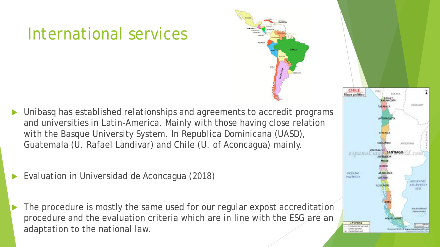# International services

- Unibasq has established relationships and agreements to accredit programs and universities in Latin-America. Mainly with those having close relation with the Basque University System. In Republica Dominicana (UASD), Guatemala (U. Rafael Landivar) and Chile (U. of Aconcagua) mainly.
- Evaluation in Universidad de Aconcagua (2018)
	- The procedure is mostly the same used for our regular expost accreditation procedure and the evaluation criteria which are in line with the ESG are an adaptation to the national law.

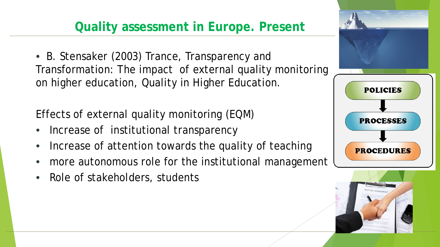### **Quality assessment in Europe. Present**

• B. Stensaker (2003) Trance, Transparency and Transformation: The impact of external quality monitoring on higher education, Quality in Higher Education.

Effects of external quality monitoring (EQM)

- Increase of institutional transparency
- Increase of attention towards the quality of teaching
- more autonomous role for the institutional management
- Role of stakeholders, students

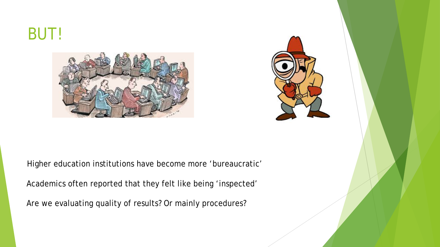# BUT!





Higher education institutions have become more 'bureaucratic'

Academics often reported that they felt like being 'inspected'

Are we evaluating quality of results? Or mainly procedures?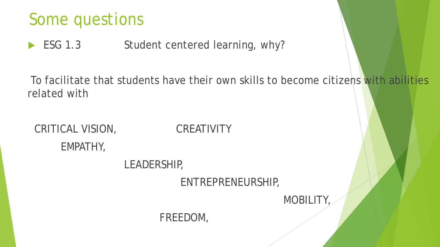# Some questions

ESG 1.3 Student centered learning, why?

To facilitate that students have their own skills to become citizens with abilities related with

CRITICAL VISION, CREATIVITY EMPATHY, LEADERSHIP, ENTREPRENEURSHIP, MOBILITY, FREEDOM,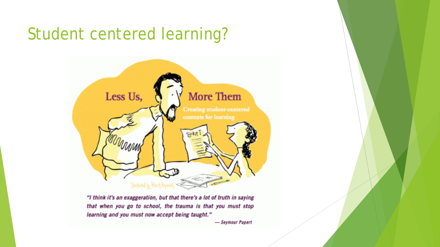# Student centered learning?



"I think it's an exaggeration, but that there's a lot of truth in saying that when you go to school, the trauma is that you must stop learning and you must now accept being taught."

- Seymour Papert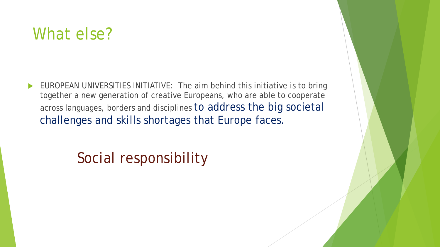# What else?

 EUROPEAN UNIVERSITIES INITIATIVE: The aim behind this initiative is to bring together a new generation of creative Europeans, who are able to cooperate across languages, borders and disciplines to address the big societal challenges and skills shortages that Europe faces.

### Social responsibility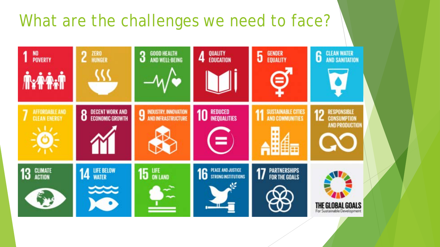# What are the challenges we need to face?

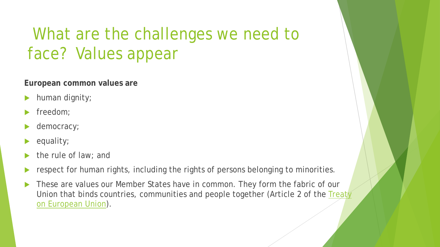# What are the challenges we need to face? Values appear

**European common values are**

- human dignity;
- freedom;
- democracy;
- equality;
- the rule of law; and
- respect for human rights, including the rights of persons belonging to minorities.
- These are values our Member States have in common. They form the fabric of our Union that binds countries, communities and people together (Article 2 of the Treaty on European Union).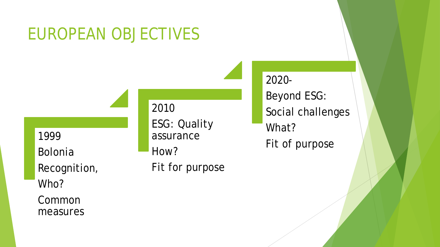# EUROPEAN OBJECTIVES

1999

Bolonia Recognition,

Who?

Common measures 2010

ESG: Quality assurance How? Fit for purpose 2020- Beyond ESG: Social challenges What? Fit of purpose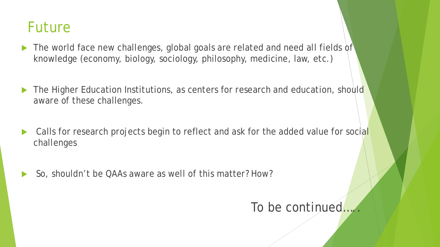### Future

- ▶ The world face new challenges, global goals are related and need all fields of knowledge (economy, biology, sociology, philosophy, medicine, law, etc.)
- The Higher Education Institutions, as centers for research and education, should aware of these challenges.
- Calls for research projects begin to reflect and ask for the added value for social challenges
- So, shouldn't be QAAs aware as well of this matter? How?

#### To be continued....